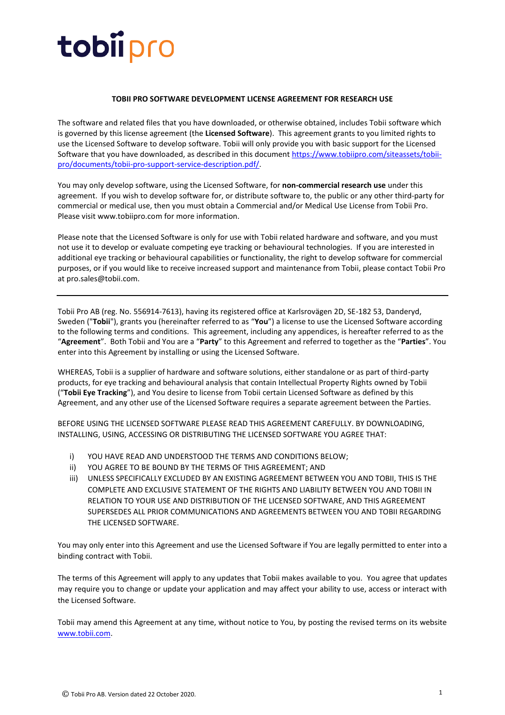### **TOBII PRO SOFTWARE DEVELOPMENT LICENSE AGREEMENT FOR RESEARCH USE**

The software and related files that you have downloaded, or otherwise obtained, includes Tobii software which is governed by this license agreement (the **Licensed Software**). This agreement grants to you limited rights to use the Licensed Software to develop software. Tobii will only provide you with basic support for the Licensed Software that you have downloaded, as described in this document [https://www.tobiipro.com/siteassets/tobii](https://www.tobiipro.com/siteassets/tobii-pro/documents/tobii-pro-support-service-description.pdf/)[pro/documents/tobii-pro-support-service-description.pdf/.](https://www.tobiipro.com/siteassets/tobii-pro/documents/tobii-pro-support-service-description.pdf/)

You may only develop software, using the Licensed Software, for **non-commercial research use** under this agreement. If you wish to develop software for, or distribute software to, the public or any other third-party for commercial or medical use, then you must obtain a Commercial and/or Medical Use License from Tobii Pro. Please visit www.tobiipro.com for more information.

Please note that the Licensed Software is only for use with Tobii related hardware and software, and you must not use it to develop or evaluate competing eye tracking or behavioural technologies. If you are interested in additional eye tracking or behavioural capabilities or functionality, the right to develop software for commercial purposes, or if you would like to receive increased support and maintenance from Tobii, please contact Tobii Pro at pro.sales@tobii.com.

Tobii Pro AB (reg. No. 556914-7613), having its registered office at Karlsrovägen 2D, SE-182 53, Danderyd, Sweden ("**Tobii**"), grants you (hereinafter referred to as "**You**") a license to use the Licensed Software according to the following terms and conditions. This agreement, including any appendices, is hereafter referred to as the "**Agreement**". Both Tobii and You are a "**Party**" to this Agreement and referred to together as the "**Parties**". You enter into this Agreement by installing or using the Licensed Software.

WHEREAS, Tobii is a supplier of hardware and software solutions, either standalone or as part of third-party products, for eye tracking and behavioural analysis that contain Intellectual Property Rights owned by Tobii ("**Tobii Eye Tracking**"), and You desire to license from Tobii certain Licensed Software as defined by this Agreement, and any other use of the Licensed Software requires a separate agreement between the Parties.

BEFORE USING THE LICENSED SOFTWARE PLEASE READ THIS AGREEMENT CAREFULLY. BY DOWNLOADING, INSTALLING, USING, ACCESSING OR DISTRIBUTING THE LICENSED SOFTWARE YOU AGREE THAT:

- i) YOU HAVE READ AND UNDERSTOOD THE TERMS AND CONDITIONS BELOW;
- ii) YOU AGREE TO BE BOUND BY THE TERMS OF THIS AGREEMENT; AND
- iii) UNLESS SPECIFICALLY EXCLUDED BY AN EXISTING AGREEMENT BETWEEN YOU AND TOBII, THIS IS THE COMPLETE AND EXCLUSIVE STATEMENT OF THE RIGHTS AND LIABILITY BETWEEN YOU AND TOBII IN RELATION TO YOUR USE AND DISTRIBUTION OF THE LICENSED SOFTWARE, AND THIS AGREEMENT SUPERSEDES ALL PRIOR COMMUNICATIONS AND AGREEMENTS BETWEEN YOU AND TOBII REGARDING THE LICENSED SOFTWARE.

You may only enter into this Agreement and use the Licensed Software if You are legally permitted to enter into a binding contract with Tobii.

The terms of this Agreement will apply to any updates that Tobii makes available to you. You agree that updates may require you to change or update your application and may affect your ability to use, access or interact with the Licensed Software.

Tobii may amend this Agreement at any time, without notice to You, by posting the revised terms on its website [www.tobii.com.](http://www.tobii.com/)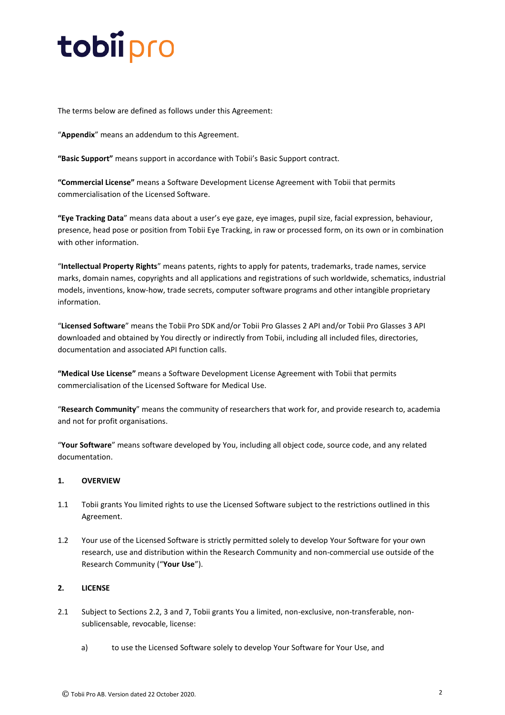The terms below are defined as follows under this Agreement:

"**Appendix**" means an addendum to this Agreement.

**"Basic Support"** means support in accordance with Tobii's Basic Support contract.

**"Commercial License"** means a Software Development License Agreement with Tobii that permits commercialisation of the Licensed Software.

**"Eye Tracking Data**" means data about a user's eye gaze, eye images, pupil size, facial expression, behaviour, presence, head pose or position from Tobii Eye Tracking, in raw or processed form, on its own or in combination with other information.

"**Intellectual Property Rights**" means patents, rights to apply for patents, trademarks, trade names, service marks, domain names, copyrights and all applications and registrations of such worldwide, schematics, industrial models, inventions, know-how, trade secrets, computer software programs and other intangible proprietary information.

"**Licensed Software**" means the Tobii Pro SDK and/or Tobii Pro Glasses 2 API and/or Tobii Pro Glasses 3 API downloaded and obtained by You directly or indirectly from Tobii, including all included files, directories, documentation and associated API function calls.

**"Medical Use License"** means a Software Development License Agreement with Tobii that permits commercialisation of the Licensed Software for Medical Use.

"**Research Community**" means the community of researchers that work for, and provide research to, academia and not for profit organisations.

"**Your Software**" means software developed by You, including all object code, source code, and any related documentation.

### **1. OVERVIEW**

- 1.1 Tobii grants You limited rights to use the Licensed Software subject to the restrictions outlined in this Agreement.
- 1.2 Your use of the Licensed Software is strictly permitted solely to develop Your Software for your own research, use and distribution within the Research Community and non-commercial use outside of the Research Community ("**Your Use**").

### <span id="page-1-0"></span>**2. LICENSE**

- 2.1 Subject to Sections [2.2,](#page-2-0) [3](#page-2-1) and [7,](#page-3-0) Tobii grants You a limited, non-exclusive, non-transferable, nonsublicensable, revocable, license:
	- a) to use the Licensed Software solely to develop Your Software for Your Use, and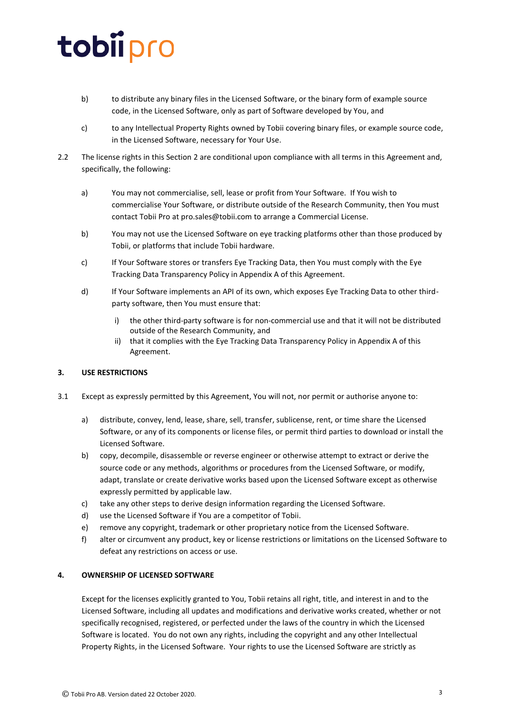- b) to distribute any binary files in the Licensed Software, or the binary form of example source code, in the Licensed Software, only as part of Software developed by You, and
- c) to any Intellectual Property Rights owned by Tobii covering binary files, or example source code, in the Licensed Software, necessary for Your Use.
- <span id="page-2-0"></span>2.2 The license rights in this Section [2](#page-1-0) are conditional upon compliance with all terms in this Agreement and, specifically, the following:
	- a) You may not commercialise, sell, lease or profit from Your Software. If You wish to commercialise Your Software, or distribute outside of the Research Community, then You must contact Tobii Pro a[t pro.sales@tobii.com](mailto:pro.sales@tobii.com) to arrange a Commercial License.
	- b) You may not use the Licensed Software on eye tracking platforms other than those produced by Tobii, or platforms that include Tobii hardware.
	- c) If Your Software stores or transfers Eye Tracking Data, then You must comply with the Eye Tracking Data Transparency Policy in Appendix A of this Agreement.
	- d) If Your Software implements an API of its own, which exposes Eye Tracking Data to other thirdparty software, then You must ensure that:
		- i) the other third-party software is for non-commercial use and that it will not be distributed outside of the Research Community, and
		- ii) that it complies with the Eye Tracking Data Transparency Policy in Appendix A of this Agreement.

### <span id="page-2-1"></span>**3. USE RESTRICTIONS**

- 3.1 Except as expressly permitted by this Agreement, You will not, nor permit or authorise anyone to:
	- a) distribute, convey, lend, lease, share, sell, transfer, sublicense, rent, or time share the Licensed Software, or any of its components or license files, or permit third parties to download or install the Licensed Software.
	- b) copy, decompile, disassemble or reverse engineer or otherwise attempt to extract or derive the source code or any methods, algorithms or procedures from the Licensed Software, or modify, adapt, translate or create derivative works based upon the Licensed Software except as otherwise expressly permitted by applicable law.
	- c) take any other steps to derive design information regarding the Licensed Software.
	- d) use the Licensed Software if You are a competitor of Tobii.
	- e) remove any copyright, trademark or other proprietary notice from the Licensed Software.
	- f) alter or circumvent any product, key or license restrictions or limitations on the Licensed Software to defeat any restrictions on access or use.

### **4. OWNERSHIP OF LICENSED SOFTWARE**

Except for the licenses explicitly granted to You, Tobii retains all right, title, and interest in and to the Licensed Software, including all updates and modifications and derivative works created, whether or not specifically recognised, registered, or perfected under the laws of the country in which the Licensed Software is located. You do not own any rights, including the copyright and any other Intellectual Property Rights, in the Licensed Software. Your rights to use the Licensed Software are strictly as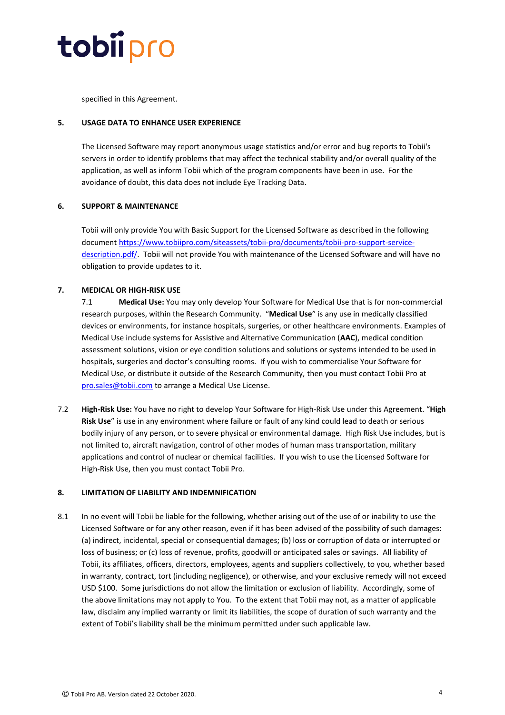

specified in this Agreement.

### **5. USAGE DATA TO ENHANCE USER EXPERIENCE**

The Licensed Software may report anonymous usage statistics and/or error and bug reports to Tobii's servers in order to identify problems that may affect the technical stability and/or overall quality of the application, as well as inform Tobii which of the program components have been in use. For the avoidance of doubt, this data does not include Eye Tracking Data.

### **6. SUPPORT & MAINTENANCE**

Tobii will only provide You with Basic Support for the Licensed Software as described in the following document [https://www.tobiipro.com/siteassets/tobii-pro/documents/tobii-pro-support-service](https://www.tobiipro.com/siteassets/tobii-pro/documents/tobii-pro-support-service-description.pdf/)[description.pdf/.](https://www.tobiipro.com/siteassets/tobii-pro/documents/tobii-pro-support-service-description.pdf/) Tobii will not provide You with maintenance of the Licensed Software and will have no obligation to provide updates to it.

#### <span id="page-3-0"></span>**7. MEDICAL OR HIGH-RISK USE**

7.1 **Medical Use:** You may only develop Your Software for Medical Use that is for non-commercial research purposes, within the Research Community. "**Medical Use**" is any use in medically classified devices or environments, for instance hospitals, surgeries, or other healthcare environments. Examples of Medical Use include systems for Assistive and Alternative Communication (**AAC**), medical condition assessment solutions, vision or eye condition solutions and solutions or systems intended to be used in hospitals, surgeries and doctor's consulting rooms. If you wish to commercialise Your Software for Medical Use, or distribute it outside of the Research Community, then you must contact Tobii Pro at [pro.sales@tobii.com](mailto:pro.sales@tobii.com) to arrange a Medical Use License.

7.2 **High-Risk Use:** You have no right to develop Your Software for High-Risk Use under this Agreement. "**High Risk Use**" is use in any environment where failure or fault of any kind could lead to death or serious bodily injury of any person, or to severe physical or environmental damage. High Risk Use includes, but is not limited to, aircraft navigation, control of other modes of human mass transportation, military applications and control of nuclear or chemical facilities. If you wish to use the Licensed Software for High-Risk Use, then you must contact Tobii Pro.

#### **8. LIMITATION OF LIABILITY AND INDEMNIFICATION**

8.1 In no event will Tobii be liable for the following, whether arising out of the use of or inability to use the Licensed Software or for any other reason, even if it has been advised of the possibility of such damages: (a) indirect, incidental, special or consequential damages; (b) loss or corruption of data or interrupted or loss of business; or (c) loss of revenue, profits, goodwill or anticipated sales or savings. All liability of Tobii, its affiliates, officers, directors, employees, agents and suppliers collectively, to you, whether based in warranty, contract, tort (including negligence), or otherwise, and your exclusive remedy will not exceed USD \$100. Some jurisdictions do not allow the limitation or exclusion of liability. Accordingly, some of the above limitations may not apply to You. To the extent that Tobii may not, as a matter of applicable law, disclaim any implied warranty or limit its liabilities, the scope of duration of such warranty and the extent of Tobii's liability shall be the minimum permitted under such applicable law.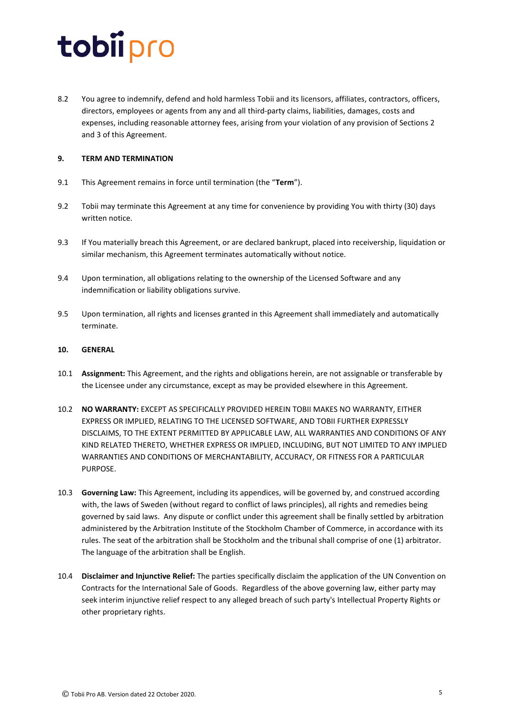8.2 You agree to indemnify, defend and hold harmless Tobii and its licensors, affiliates, contractors, officers, directors, employees or agents from any and all third-party claims, liabilities, damages, costs and expenses, including reasonable attorney fees, arising from your violation of any provision of Sections [2](#page-1-0) and [3](#page-2-1) of this Agreement.

### **9. TERM AND TERMINATION**

- 9.1 This Agreement remains in force until termination (the "**Term**").
- 9.2 Tobii may terminate this Agreement at any time for convenience by providing You with thirty (30) days written notice.
- 9.3 If You materially breach this Agreement, or are declared bankrupt, placed into receivership, liquidation or similar mechanism, this Agreement terminates automatically without notice.
- 9.4 Upon termination, all obligations relating to the ownership of the Licensed Software and any indemnification or liability obligations survive.
- 9.5 Upon termination, all rights and licenses granted in this Agreement shall immediately and automatically terminate.

### **10. GENERAL**

- 10.1 **Assignment:** This Agreement, and the rights and obligations herein, are not assignable or transferable by the Licensee under any circumstance, except as may be provided elsewhere in this Agreement.
- 10.2 **NO WARRANTY:** EXCEPT AS SPECIFICALLY PROVIDED HEREIN TOBII MAKES NO WARRANTY, EITHER EXPRESS OR IMPLIED, RELATING TO THE LICENSED SOFTWARE, AND TOBII FURTHER EXPRESSLY DISCLAIMS, TO THE EXTENT PERMITTED BY APPLICABLE LAW, ALL WARRANTIES AND CONDITIONS OF ANY KIND RELATED THERETO, WHETHER EXPRESS OR IMPLIED, INCLUDING, BUT NOT LIMITED TO ANY IMPLIED WARRANTIES AND CONDITIONS OF MERCHANTABILITY, ACCURACY, OR FITNESS FOR A PARTICULAR PURPOSE.
- 10.3 **Governing Law:** This Agreement, including its appendices, will be governed by, and construed according with, the laws of Sweden (without regard to conflict of laws principles), all rights and remedies being governed by said laws. Any dispute or conflict under this agreement shall be finally settled by arbitration administered by the Arbitration Institute of the Stockholm Chamber of Commerce, in accordance with its rules. The seat of the arbitration shall be Stockholm and the tribunal shall comprise of one (1) arbitrator. The language of the arbitration shall be English.
- 10.4 **Disclaimer and Injunctive Relief:** The parties specifically disclaim the application of the UN Convention on Contracts for the International Sale of Goods. Regardless of the above governing law, either party may seek interim injunctive relief respect to any alleged breach of such party's Intellectual Property Rights or other proprietary rights.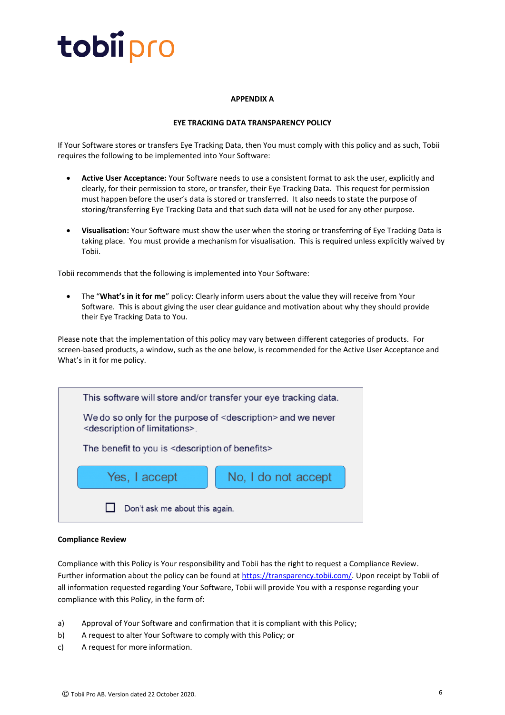### **APPENDIX A**

### **EYE TRACKING DATA TRANSPARENCY POLICY**

If Your Software stores or transfers Eye Tracking Data, then You must comply with this policy and as such, Tobii requires the following to be implemented into Your Software:

- **Active User Acceptance:** Your Software needs to use a consistent format to ask the user, explicitly and clearly, for their permission to store, or transfer, their Eye Tracking Data. This request for permission must happen before the user's data is stored or transferred. It also needs to state the purpose of storing/transferring Eye Tracking Data and that such data will not be used for any other purpose.
- **Visualisation:** Your Software must show the user when the storing or transferring of Eye Tracking Data is taking place. You must provide a mechanism for visualisation. This is required unless explicitly waived by Tobii.

Tobii recommends that the following is implemented into Your Software:

• The "**What's in it for me**" policy: Clearly inform users about the value they will receive from Your Software. This is about giving the user clear guidance and motivation about why they should provide their Eye Tracking Data to You.

Please note that the implementation of this policy may vary between different categories of products. For screen-based products, a window, such as the one below, is recommended for the Active User Acceptance and What's in it for me policy.



#### **Compliance Review**

Compliance with this Policy is Your responsibility and Tobii has the right to request a Compliance Review. Further information about the policy can be found at [https://transparency.tobii.com/.](https://transparency.tobii.com/) Upon receipt by Tobii of all information requested regarding Your Software, Tobii will provide You with a response regarding your compliance with this Policy, in the form of:

- a) Approval of Your Software and confirmation that it is compliant with this Policy;
- b) A request to alter Your Software to comply with this Policy; or
- c) A request for more information.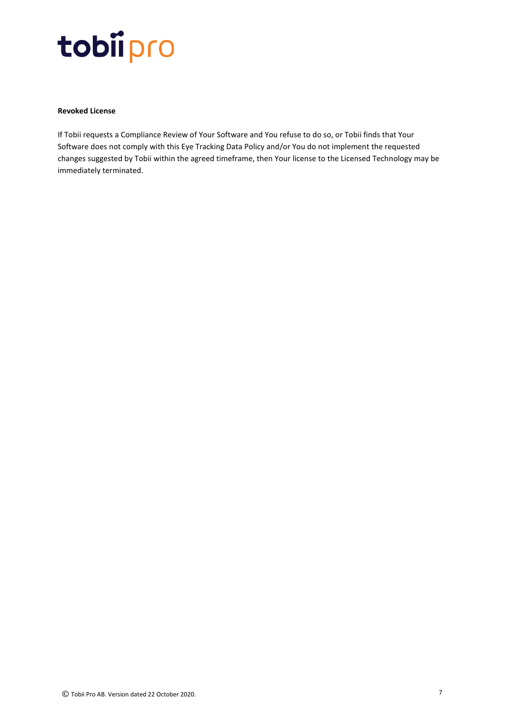### **Revoked License**

If Tobii requests a Compliance Review of Your Software and You refuse to do so, or Tobii finds that Your Software does not comply with this Eye Tracking Data Policy and/or You do not implement the requested changes suggested by Tobii within the agreed timeframe, then Your license to the Licensed Technology may be immediately terminated.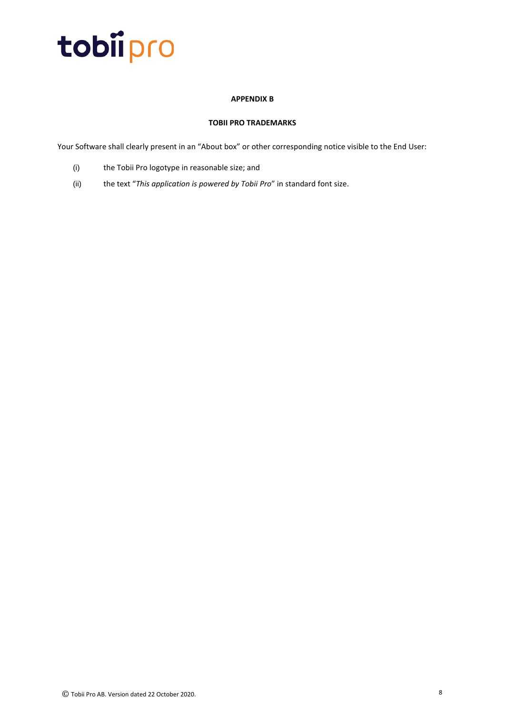### **APPENDIX B**

### **TOBII PRO TRADEMARKS**

Your Software shall clearly present in an "About box" or other corresponding notice visible to the End User:

- (i) the Tobii Pro logotype in reasonable size; and
- (ii) the text "*This application is powered by Tobii Pro*" in standard font size.